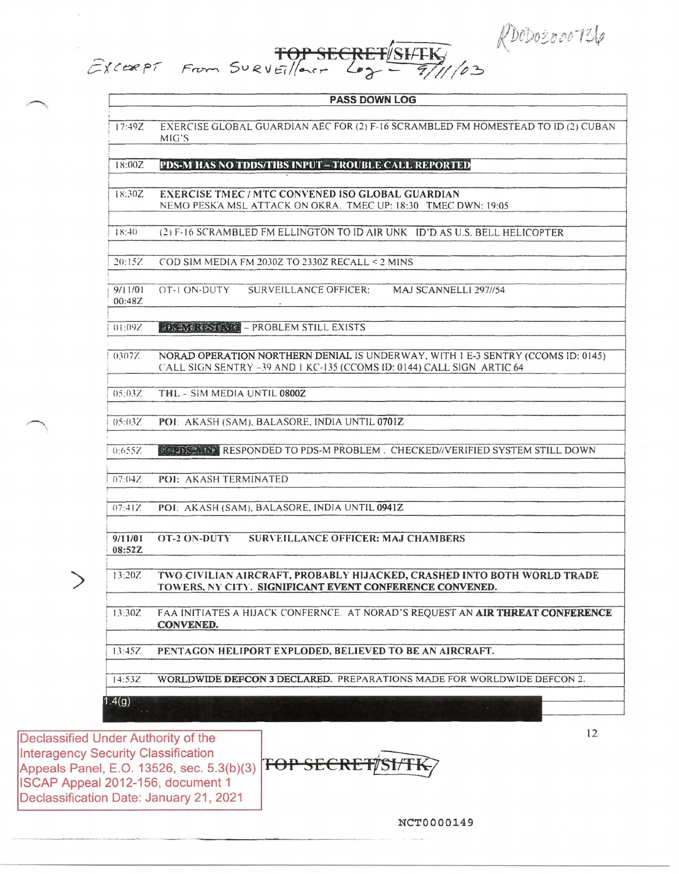RDODOSOOOTS6

 $1/03$ 

|                   | <b>PASS DOWN LOG</b>                                                                                                                                     |
|-------------------|----------------------------------------------------------------------------------------------------------------------------------------------------------|
|                   |                                                                                                                                                          |
| 17:49Z            | EXERCISE GLOBAL GUARDIAN AEC FOR (2) F-16 SCRAMBLED FM HOMESTEAD TO ID (2) CUBAN<br>MIG'S                                                                |
|                   |                                                                                                                                                          |
| 18:00Z            | <b>PDS-M HAS NO TDDS/TIBS INPUT - TROUBLE CALL REPORTED</b>                                                                                              |
|                   |                                                                                                                                                          |
| 18:30Z            | <b>EXERCISE TMEC/MTC CONVENED ISO GLOBAL GUARDIAN</b><br>NEMO PESKA MSL ATTACK ON OKRA. TMEC UP: 18:30 TMEC DWN: 19:05                                   |
|                   |                                                                                                                                                          |
| 18:40             | (2) F-16 SCRAMBLED FM ELLINGTON TO ID AIR UNK ID'D AS U.S. BELL HELICOPTER                                                                               |
|                   |                                                                                                                                                          |
| 20:15Z            | COD SIM MEDIA FM 2030Z TO 2330Z RECALL < 2 MINS                                                                                                          |
|                   |                                                                                                                                                          |
| 9/11/01<br>00:48Z | OT-LON-DUTY<br>SURVEILLANCE OFFICER:<br>MAJ SCANNELLI 297//54                                                                                            |
|                   |                                                                                                                                                          |
| 01:09Z            | <b>ELS IN RUSTARY - PROBLEM STILL EXISTS</b>                                                                                                             |
|                   |                                                                                                                                                          |
| 0307Z             | NORAD OPERATION NORTHERN DENIAL IS UNDERWAY, WITH 1 E-3 SENTRY (CCOMS ID: 0145)<br>CALL SIGN SENTRY -39 AND 1 KC-135 (CCOMS ID: 0144) CALL SIGN ARTIC 64 |
|                   |                                                                                                                                                          |
| 05:037            | THL - SIM MEDIA UNTIL 0800Z                                                                                                                              |
|                   |                                                                                                                                                          |

POI: AKASH (SAM), BALASORE, INDIA UNTIL 0701Z  $05:03Z$ 

FOP SECRET/SHTK

 $0:6557$ **AT STEAD AND RESPONDED TO PDS-M PROBLEM. CHECKED//VERIFIED SYSTEM STILL DOWN** 

 $07:04Z$ POI: AKASH TERMINATED

 $07:41Z$ POI: AKASH (SAM), BALASORE, INDIA UNTIL 0941Z

 $9/11/01$ OT-2 ON-DUTY **SURVEILLANCE OFFICER: MAJ CHAMBERS** 08:52Z

13:20Z TWO CIVILIAN AIRCRAFT, PROBABLY HIJACKED, CRASHED INTO BOTH WORLD TRADE TOWERS, NY CITY. SIGNIFICANT EVENT CONFERENCE CONVENED.

 $13:30Z$ FAA INITIATES A HIJACK CONFERNCE. AT NORAD'S REQUEST AN AIR THREAT CONFERENCE CONVENED.

13:45Z PENTAGON HELIPORT EXPLODED, BELIEVED TO BE AN AIRCRAFT.

WORLDWIDE DEFCON 3 DECLARED. PREPARATIONS MADE FOR WORLDWIDE DEFCON 2. 14:53Z

 $1.4(g)$ 

Declassified Under Authority of the Interagency Security Classification Appeals Panel, E.O. 13526, sec. 5.3(b)(3) **TOP SECRET/SI/TK** ISCAP Appeal 2012-156, document 1 Declassification Date: January 21, 2021

**NCT0000149** 

12